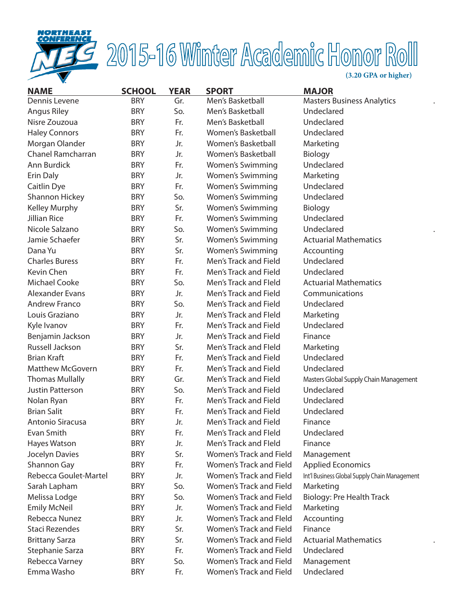

# 2015-16 Winter Academic Honor Roll

| <b>NAME</b>              | <b>SCHOOL</b> | <b>YEAR</b> | <b>SPORT</b>            | <b>MAJOR</b>                                  |
|--------------------------|---------------|-------------|-------------------------|-----------------------------------------------|
| Dennis Levene            | <b>BRY</b>    | Gr.         | Men's Basketball        | <b>Masters Business Analytics</b>             |
| Angus Riley              | <b>BRY</b>    | So.         | Men's Basketball        | Undeclared                                    |
| Nisre Zouzoua            | <b>BRY</b>    | Fr.         | Men's Basketball        | Undeclared                                    |
| <b>Haley Connors</b>     | <b>BRY</b>    | Fr.         | Women's Basketball      | Undeclared                                    |
| Morgan Olander           | <b>BRY</b>    | Jr.         | Women's Basketball      | Marketing                                     |
| <b>Chanel Ramcharran</b> | <b>BRY</b>    | Jr.         | Women's Basketball      | Biology                                       |
| Ann Burdick              | <b>BRY</b>    | Fr.         | <b>Women's Swimming</b> | Undeclared                                    |
| Erin Daly                | <b>BRY</b>    | Jr.         | <b>Women's Swimming</b> | Marketing                                     |
| Caitlin Dye              | <b>BRY</b>    | Fr.         | <b>Women's Swimming</b> | Undeclared                                    |
| <b>Shannon Hickey</b>    | <b>BRY</b>    | So.         | <b>Women's Swimming</b> | Undeclared                                    |
| <b>Kelley Murphy</b>     | <b>BRY</b>    | Sr.         | <b>Women's Swimming</b> | Biology                                       |
| <b>Jillian Rice</b>      | <b>BRY</b>    | Fr.         | <b>Women's Swimming</b> | Undeclared                                    |
| Nicole Salzano           | <b>BRY</b>    | So.         | <b>Women's Swimming</b> | Undeclared                                    |
| Jamie Schaefer           | <b>BRY</b>    | Sr.         | <b>Women's Swimming</b> | <b>Actuarial Mathematics</b>                  |
| Dana Yu                  | <b>BRY</b>    | Sr.         | <b>Women's Swimming</b> | Accounting                                    |
| <b>Charles Buress</b>    | <b>BRY</b>    | Fr.         | Men's Track and Field   | Undeclared                                    |
| Kevin Chen               | <b>BRY</b>    | Fr.         | Men's Track and Field   | Undeclared                                    |
| <b>Michael Cooke</b>     | <b>BRY</b>    | So.         | Men's Track and Fleld   | <b>Actuarial Mathematics</b>                  |
| <b>Alexander Evans</b>   | <b>BRY</b>    | Jr.         | Men's Track and Field   | Communications                                |
| <b>Andrew Franco</b>     | <b>BRY</b>    | So.         | Men's Track and Field   | Undeclared                                    |
| Louis Graziano           | <b>BRY</b>    | Jr.         | Men's Track and Fleld   | Marketing                                     |
| Kyle Ivanov              | <b>BRY</b>    | Fr.         | Men's Track and Field   | Undeclared                                    |
| Benjamin Jackson         | <b>BRY</b>    | Jr.         | Men's Track and Field   | Finance                                       |
| Russell Jackson          | <b>BRY</b>    | Sr.         | Men's Track and Fleld   | Marketing                                     |
| <b>Brian Kraft</b>       | <b>BRY</b>    | Fr.         | Men's Track and Field   | Undeclared                                    |
| <b>Matthew McGovern</b>  | <b>BRY</b>    | Fr.         | Men's Track and Field   | Undeclared                                    |
| <b>Thomas Mullally</b>   | <b>BRY</b>    | Gr.         | Men's Track and Field   | Masters Global Supply Chain Management        |
| <b>Justin Patterson</b>  | <b>BRY</b>    | So.         | Men's Track and Field   | Undeclared                                    |
| Nolan Ryan               | <b>BRY</b>    | Fr.         | Men's Track and Field   | Undeclared                                    |
| <b>Brian Salit</b>       | <b>BRY</b>    | Fr.         | Men's Track and Field   | Undeclared                                    |
| Antonio Siracusa         | <b>BRY</b>    | Jr.         | Men's Track and Field   | Finance                                       |
| Evan Smith               | <b>BRY</b>    | Fr.         | Men's Track and Fleld   | Undeclared                                    |
| Hayes Watson             | <b>BRY</b>    | Jr.         | Men's Track and Fleld   | Finance                                       |
| Jocelyn Davies           | <b>BRY</b>    | Sr.         | Women's Track and Field | Management                                    |
| Shannon Gay              | <b>BRY</b>    | Fr.         | Women's Track and Field | <b>Applied Economics</b>                      |
| Rebecca Goulet-Martel    | <b>BRY</b>    | Jr.         | Women's Track and Field | Int'l Business Global Supply Chain Management |
| Sarah Lapham             | <b>BRY</b>    | So.         | Women's Track and Field | Marketing                                     |
| Melissa Lodge            | <b>BRY</b>    | So.         | Women's Track and Field | <b>Biology: Pre Health Track</b>              |
| <b>Emily McNeil</b>      | <b>BRY</b>    | Jr.         | Women's Track and Field | Marketing                                     |
| Rebecca Nunez            | <b>BRY</b>    | Jr.         | Women's Track and Fleld | Accounting                                    |
| <b>Staci Rezendes</b>    | <b>BRY</b>    | Sr.         | Women's Track and Field | Finance                                       |
| <b>Brittany Sarza</b>    | <b>BRY</b>    | Sr.         | Women's Track and Field | <b>Actuarial Mathematics</b>                  |
| Stephanie Sarza          | <b>BRY</b>    | Fr.         | Women's Track and Field | Undeclared                                    |
| Rebecca Varney           | <b>BRY</b>    | So.         | Women's Track and Field | Management                                    |
| Emma Washo               | <b>BRY</b>    | Fr.         | Women's Track and Field | Undeclared                                    |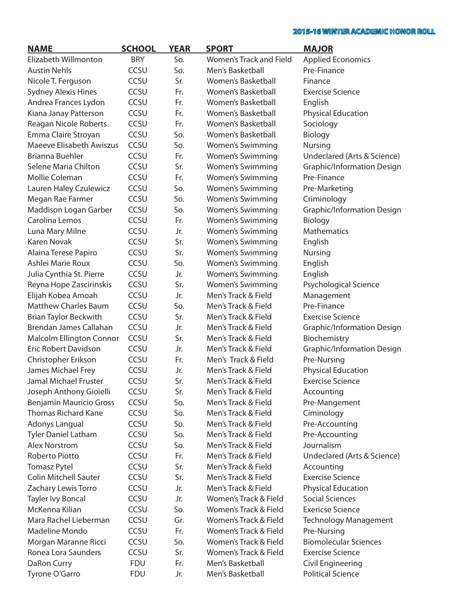| <b>NAME</b>                     | <b>SCHOOL</b> | <b>YEAR</b> | <b>SPORT</b>              | <b>MAJOR</b>                                  |
|---------------------------------|---------------|-------------|---------------------------|-----------------------------------------------|
| Elizabeth Willmonton            | <b>BRY</b>    | So.         | Women's Track and Field   | <b>Applied Economics</b>                      |
| <b>Austin Nehls</b>             | CCSU          | So.         | Men's Basketball          | Pre-Finance                                   |
| Nicole T. Ferguson              | CCSU          | Sr.         | Women's Basketball        | Finance                                       |
| <b>Sydney Alexis Hines</b>      | CCSU          | Fr.         | Women's Basketball        | <b>Exercise Science</b>                       |
| Andrea Frances Lydon            | CCSU          | Fr.         | Women's Basketball        | English                                       |
| Kiana Janay Patterson           | CCSU          | Fr.         | Women's Basketball        | <b>Physical Education</b>                     |
| Reagan Nicole Roberts           | CCSU          | Fr.         | <b>Women's Basketball</b> | Sociology                                     |
| Emma Claire Stroyan             | CCSU          | So.         | <b>Women's Basketball</b> | Biology                                       |
| <b>Maeeve Elisabeth Awiszus</b> | CCSU          | So.         | <b>Women's Swimming</b>   | <b>Nursing</b>                                |
| <b>Brianna Buehler</b>          | CCSU          | Fr.         | <b>Women's Swimming</b>   | Undeclared (Arts & Science)                   |
| Selene Maria Chilton            | CCSU          | Sr.         | <b>Women's Swimming</b>   | Graphic/Information Design                    |
| Mollie Coleman                  | CCSU          | Fr.         | Women's Swimming          | Pre-Finance                                   |
| Lauren Haley Czulewicz          | CCSU          | So.         | <b>Women's Swimming</b>   | Pre-Marketing                                 |
| Megan Rae Farmer                | CCSU          | So.         | <b>Women's Swimming</b>   | Criminology                                   |
| Maddison Logan Garber           | CCSU          | So.         | <b>Women's Swimming</b>   | <b>Graphic/Information Design</b>             |
| Carolina Lemos                  | CCSU          | Fr.         | <b>Women's Swimming</b>   | Biology                                       |
| Luna Mary Milne                 | CCSU          | Jr.         | <b>Women's Swimming</b>   | <b>Mathematics</b>                            |
| <b>Karen Novak</b>              | CCSU          | Sr.         | <b>Women's Swimming</b>   | English                                       |
| Alaina Terese Papiro            | CCSU          | Sr.         | <b>Women's Swimming</b>   | <b>Nursing</b>                                |
| Ashlei Marie Roux               | CCSU          | So.         | <b>Women's Swimming</b>   | English                                       |
| Julia Cynthia St. Pierre        | CCSU          | Jr.         | <b>Women's Swimming</b>   | English                                       |
| Reyna Hope Zascirinskis         | CCSU          | Sr.         | <b>Women's Swimming</b>   | Psychological Science                         |
| Elijah Kobea Amoah              | CCSU          | Jr.         | Men's Track & Field       | Management                                    |
| <b>Matthew Charles Baum</b>     | CCSU          | So.         | Men's Track & Field       | Pre-Finance                                   |
| <b>Brian Taylor Beckwith</b>    | CCSU          | Sr.         | Men's Track & Field       | <b>Exercise Science</b>                       |
| Brendan James Callahan          | CCSU          | Jr.         | Men's Track & Field       | <b>Graphic/Information Design</b>             |
| <b>Malcolm Ellington Connor</b> | CCSU          | Sr.         | Men's Track & Field       | Biochemistry                                  |
| Eric Robert Davidson            | CCSU          | Jr.         | Men's Track & Field       | <b>Graphic/Information Design</b>             |
| Christopher Erikson             | CCSU          | Fr.         | Men's Track & Field       | Pre-Nursing                                   |
| James Michael Frey              | CCSU          | Jr.         | Men's Track & Field       | <b>Physical Education</b>                     |
| <b>Jamal Michael Fruster</b>    | CCSU          | Sr.         | Men's Track & Field       | <b>Exercise Science</b>                       |
| Joseph Anthony Gioielli         | CCSU          | Sr.         | Men's Track & Field       | Accounting                                    |
| <b>Benjamin Mauricio Gross</b>  | CCSU          | So.         | Men's Track & Field       | Pre-Mangement                                 |
| <b>Thomas Richard Kane</b>      | <b>CCSU</b>   | So.         | Men's Track & Field       | Ciminology                                    |
| Adonys Langual                  | <b>CCSU</b>   | So.         | Men's Track & Field       | Pre-Accounting                                |
| <b>Tyler Daniel Latham</b>      | <b>CCSU</b>   | So.         | Men's Track & Field       | Pre-Accounting                                |
| <b>Alex Norstrom</b>            | <b>CCSU</b>   | So.         | Men's Track & Field       | Journalism                                    |
| Roberto Piotto                  | <b>CCSU</b>   | Fr.         | Men's Track & Field       | Undeclared (Arts & Science)                   |
| <b>Tomasz Pytel</b>             | <b>CCSU</b>   | Sr.         | Men's Track & Field       | Accounting                                    |
| <b>Colin Mitchell Sauter</b>    | <b>CCSU</b>   | Sr.         | Men's Track & Field       | <b>Exercise Science</b>                       |
| Zachary Lewis Torro             | <b>CCSU</b>   | Jr.         | Men's Track & Field       | <b>Physical Education</b>                     |
| Tayler Ivy Boncal               | <b>CCSU</b>   | Jr.         | Women's Track & Field     | <b>Social Sciences</b>                        |
| McKenna Kilian                  | <b>CCSU</b>   | So.         | Women's Track & Field     | <b>Exericse Science</b>                       |
| Mara Rachel Lieberman           | <b>CCSU</b>   | Gr.         | Women's Track & Field     | <b>Technology Management</b>                  |
| Madeline Mondo                  | CCSU          | Fr.         | Women's Track & Field     | Pre-Nursing                                   |
| Morgan Maranne Ricci            | <b>CCSU</b>   | So.         | Women's Track & Field     | <b>Biomolecular Sciences</b>                  |
| Ronea Lora Saunders             | CCSU          | Sr.         | Women's Track & Field     | <b>Exercise Science</b>                       |
|                                 | <b>FDU</b>    | Fr.         | Men's Basketball          |                                               |
| DaRon Curry                     | <b>FDU</b>    |             |                           | Civil Engineering<br><b>Political Science</b> |
| Tyrone O'Garro                  |               | Jr.         | Men's Basketball          |                                               |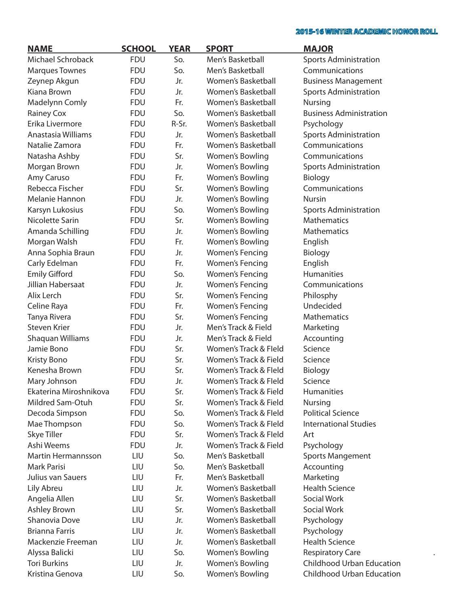$\bullet$ 

| <b>NAME</b>            | <b>SCHOOL</b> | <b>YEAR</b> | <b>SPORT</b>           | <b>MAJOR</b>                   |
|------------------------|---------------|-------------|------------------------|--------------------------------|
| Michael Schroback      | <b>FDU</b>    | So.         | Men's Basketball       | <b>Sports Administration</b>   |
| <b>Marques Townes</b>  | <b>FDU</b>    | So.         | Men's Basketball       | Communications                 |
| Zeynep Akgun           | <b>FDU</b>    | Jr.         | Women's Basketball     | <b>Business Management</b>     |
| Kiana Brown            | <b>FDU</b>    | Jr.         | Women's Basketball     | <b>Sports Administration</b>   |
| Madelynn Comly         | <b>FDU</b>    | Fr.         | Women's Basketball     | Nursing                        |
| Rainey Cox             | <b>FDU</b>    | So.         | Women's Basketball     | <b>Business Administration</b> |
| Erika Livermore        | <b>FDU</b>    | R-Sr.       | Women's Basketball     | Psychology                     |
| Anastasia Williams     | <b>FDU</b>    | Jr.         | Women's Basketball     | <b>Sports Administration</b>   |
| Natalie Zamora         | <b>FDU</b>    | Fr.         | Women's Basketball     | Communications                 |
| Natasha Ashby          | <b>FDU</b>    | Sr.         | Women's Bowling        | Communications                 |
| Morgan Brown           | <b>FDU</b>    | Jr.         | Women's Bowling        | <b>Sports Administration</b>   |
| Amy Caruso             | <b>FDU</b>    | Fr.         | Women's Bowling        | Biology                        |
| Rebecca Fischer        | <b>FDU</b>    | Sr.         | Women's Bowling        | Communications                 |
| Melanie Hannon         | <b>FDU</b>    | Jr.         | Women's Bowling        | Nursin                         |
| Karsyn Lukosius        | <b>FDU</b>    | So.         | Women's Bowling        | <b>Sports Administration</b>   |
| Nicolette Sarin        | <b>FDU</b>    | Sr.         | Women's Bowling        | <b>Mathematics</b>             |
| Amanda Schilling       | <b>FDU</b>    | Jr.         | Women's Bowling        | <b>Mathematics</b>             |
| Morgan Walsh           | <b>FDU</b>    | Fr.         | Women's Bowling        | English                        |
| Anna Sophia Braun      | <b>FDU</b>    | Jr.         | Women's Fencing        | Biology                        |
| Carly Edelman          | <b>FDU</b>    | Fr.         | Women's Fencing        | English                        |
| <b>Emily Gifford</b>   | <b>FDU</b>    | So.         | <b>Women's Fencing</b> | <b>Humanities</b>              |
| Jillian Habersaat      | <b>FDU</b>    | Jr.         | Women's Fencing        | Communications                 |
| Alix Lerch             | <b>FDU</b>    | Sr.         | Women's Fencing        | Philosphy                      |
| Celine Raya            | <b>FDU</b>    | Fr.         | Women's Fencing        | Undecided                      |
| Tanya Rivera           | <b>FDU</b>    | Sr.         | Women's Fencing        | Mathematics                    |
| <b>Steven Krier</b>    | <b>FDU</b>    | Jr.         | Men's Track & Field    | Marketing                      |
| Shaquan Williams       | <b>FDU</b>    | Jr.         | Men's Track & Field    | Accounting                     |
| Jamie Bono             | <b>FDU</b>    | Sr.         | Women's Track & Fleld  | Science                        |
| Kristy Bono            | <b>FDU</b>    | Sr.         | Women's Track & Field  | Science                        |
| Kenesha Brown          | <b>FDU</b>    | Sr.         | Women's Track & Fleld  | Biology                        |
| Mary Johnson           | <b>FDU</b>    | Jr.         | Women's Track & Fleld  | Science                        |
| Ekaterina Miroshnikova | <b>FDU</b>    | Sr.         | Women's Track & Field  | <b>Humanities</b>              |
| Mildred Sam-Otuh       | <b>FDU</b>    | Sr.         | Women's Track & Field  | Nursing                        |
| Decoda Simpson         | <b>FDU</b>    | So.         | Women's Track & Fleld  | <b>Political Science</b>       |
| Mae Thompson           | <b>FDU</b>    | So.         | Women's Track & Fleld  | <b>International Studies</b>   |
| Skye Tiller            | <b>FDU</b>    | Sr.         | Women's Track & Fleld  | Art                            |
| Ashi Weems             | <b>FDU</b>    | Jr.         | Women's Track & Field  | Psychology                     |
| Martin Hermannsson     | LIU           | So.         | Men's Basketball       | <b>Sports Mangement</b>        |
| <b>Mark Parisi</b>     | LIU           | So.         | Men's Basketball       | Accounting                     |
| Julius van Sauers      | LIU           | Fr.         | Men's Basketball       | Marketing                      |
| Lily Abreu             | LIU           | Jr.         | Women's Basketball     | <b>Health Science</b>          |
| Angelia Allen          | LIU           | Sr.         | Women's Basketball     | Social Work                    |
| Ashley Brown           | LIU           | Sr.         | Women's Basketball     | Social Work                    |
| Shanovia Dove          | LIU           | Jr.         | Women's Basketball     | Psychology                     |
| <b>Brianna Farris</b>  | LIU           | Jr.         | Women's Basketball     | Psychology                     |
| Mackenzie Freeman      | LIU           | Jr.         | Women's Basketball     | <b>Health Science</b>          |
| Alyssa Balicki         | LIU           | So.         | Women's Bowling        | <b>Respiratory Care</b>        |
| <b>Tori Burkins</b>    | LIU           | Jr.         | Women's Bowling        | Childhood Urban Education      |
| Kristina Genova        | LIU           | So.         | Women's Bowling        | Childhood Urban Education      |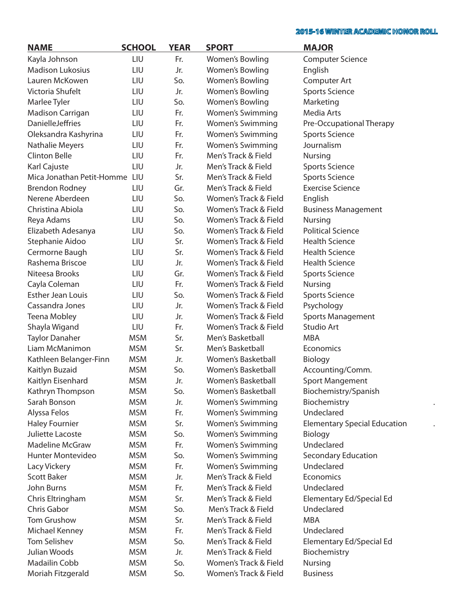$\bullet$ 

 $\ddot{\phantom{a}}$ 

| <b>NAME</b>                   | <b>SCHOOL</b> | <b>YEAR</b> | <b>SPORT</b>              | <b>MAJOR</b>                        |
|-------------------------------|---------------|-------------|---------------------------|-------------------------------------|
| Kayla Johnson                 | LIU           | Fr.         | Women's Bowling           | <b>Computer Science</b>             |
| <b>Madison Lukosius</b>       | LIU           | Jr.         | Women's Bowling           | English                             |
| Lauren McKowen                | LIU           | So.         | Women's Bowling           | Computer Art                        |
| Victoria Shufelt              | LIU           | Jr.         | Women's Bowling           | <b>Sports Science</b>               |
| Marlee Tyler                  | LIU           | So.         | Women's Bowling           | Marketing                           |
| Madison Carrigan              | LIU           | Fr.         | <b>Women's Swimming</b>   | Media Arts                          |
| <b>DanielleJeffries</b>       | LIU           | Fr.         | <b>Women's Swimming</b>   | Pre-Occupational Therapy            |
| Oleksandra Kashyrina          | LIU           | Fr.         | <b>Women's Swimming</b>   | <b>Sports Science</b>               |
| Nathalie Meyers               | LIU           | Fr.         | <b>Women's Swimming</b>   | Journalism                          |
| <b>Clinton Belle</b>          | LIU           | Fr.         | Men's Track & Field       | Nursing                             |
| Karl Cajuste                  | LIU           | Jr.         | Men's Track & Field       | <b>Sports Science</b>               |
| Mica Jonathan Petit-Homme LIU |               | Sr.         | Men's Track & Field       | <b>Sports Science</b>               |
| <b>Brendon Rodney</b>         | LIU           | Gr.         | Men's Track & Field       | <b>Exercise Science</b>             |
| Nerene Aberdeen               | LIU           | So.         | Women's Track & Field     | English                             |
| Christina Abiola              | LIU           | So.         | Women's Track & Field     | <b>Business Management</b>          |
| Reya Adams                    | LIU           | So.         | Women's Track & Field     | Nursing                             |
| Elizabeth Adesanya            | LIU           | So.         | Women's Track & Field     | <b>Political Science</b>            |
| Stephanie Aidoo               | LIU           | Sr.         | Women's Track & Field     | <b>Health Science</b>               |
| Cermorne Baugh                | LIU           | Sr.         | Women's Track & Field     | <b>Health Science</b>               |
| Rashema Briscoe               | LIU           | Jr.         | Women's Track & Field     | <b>Health Science</b>               |
| Niteesa Brooks                | LIU           | Gr.         | Women's Track & Field     | <b>Sports Science</b>               |
| Cayla Coleman                 | LIU           | Fr.         | Women's Track & Field     | <b>Nursing</b>                      |
| <b>Esther Jean Louis</b>      | LIU           | So.         | Women's Track & Field     | <b>Sports Science</b>               |
| Cassandra Jones               | LIU           | Jr.         | Women's Track & Field     |                                     |
|                               |               |             | Women's Track & Field     | Psychology                          |
| <b>Teena Mobley</b>           | LIU           | Jr.         |                           | Sports Management<br>Studio Art     |
| Shayla Wigand                 | LIU           | Fr.         | Women's Track & Field     |                                     |
| <b>Taylor Danaher</b>         | <b>MSM</b>    | Sr.         | Men's Basketball          | <b>MBA</b>                          |
| Liam McManimon                | <b>MSM</b>    | Sr.         | Men's Basketball          | Economics                           |
| Kathleen Belanger-Finn        | <b>MSM</b>    | Jr.         | <b>Women's Basketball</b> | Biology                             |
| Kaitlyn Buzaid                | <b>MSM</b>    | So.         | Women's Basketball        | Accounting/Comm.                    |
| Kaitlyn Eisenhard             | <b>MSM</b>    | Jr.         | Women's Basketball        | <b>Sport Mangement</b>              |
| Kathryn Thompson              | <b>MSM</b>    | So.         | <b>Women's Basketball</b> | Biochemistry/Spanish                |
| Sarah Bonson                  | <b>MSM</b>    | Jr.         | Women's Swimming          | Biochemistry                        |
| Alyssa Felos                  | <b>MSM</b>    | Fr.         | <b>Women's Swimming</b>   | Undeclared                          |
| <b>Haley Fournier</b>         | <b>MSM</b>    | Sr.         | <b>Women's Swimming</b>   | <b>Elementary Special Education</b> |
| Juliette Lacoste              | <b>MSM</b>    | So.         | <b>Women's Swimming</b>   | Biology                             |
| <b>Madeline McGraw</b>        | <b>MSM</b>    | Fr.         | <b>Women's Swimming</b>   | Undeclared                          |
| Hunter Montevideo             | <b>MSM</b>    | So.         | <b>Women's Swimming</b>   | <b>Secondary Education</b>          |
| Lacy Vickery                  | <b>MSM</b>    | Fr.         | <b>Women's Swimming</b>   | Undeclared                          |
| <b>Scott Baker</b>            | <b>MSM</b>    | Jr.         | Men's Track & Field       | Economics                           |
| John Burns                    | <b>MSM</b>    | Fr.         | Men's Track & Field       | Undeclared                          |
| Chris Eltringham              | <b>MSM</b>    | Sr.         | Men's Track & Field       | Elementary Ed/Special Ed            |
| Chris Gabor                   | <b>MSM</b>    | So.         | Men's Track & Field       | Undeclared                          |
| Tom Grushow                   | <b>MSM</b>    | Sr.         | Men's Track & Field       | <b>MBA</b>                          |
| Michael Kenney                | <b>MSM</b>    | Fr.         | Men's Track & Field       | Undeclared                          |
| <b>Tom Selishev</b>           | <b>MSM</b>    | So.         | Men's Track & Field       | Elementary Ed/Special Ed            |
| Julian Woods                  | <b>MSM</b>    | Jr.         | Men's Track & Field       | Biochemistry                        |
| Madailin Cobb                 | <b>MSM</b>    | So.         | Women's Track & Field     | Nursing                             |
| Moriah Fitzgerald             | <b>MSM</b>    | So.         | Women's Track & Field     | <b>Business</b>                     |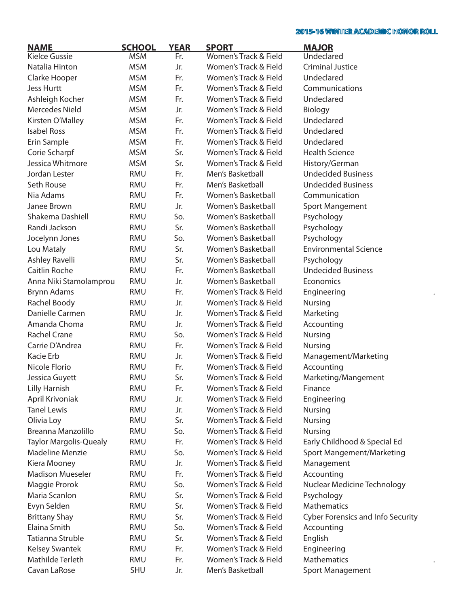$\ddot{\phantom{a}}$ 

| <b>NAME</b>                   | <b>SCHOOL</b> | <b>YEAR</b> | <b>SPORT</b>          | <b>MAJOR</b>                             |
|-------------------------------|---------------|-------------|-----------------------|------------------------------------------|
| <b>Kielce Gussie</b>          | <b>MSM</b>    | Fr.         | Women's Track & Field | Undeclared                               |
| Natalia Hinton                | <b>MSM</b>    | Jr.         | Women's Track & Field | <b>Criminal Justice</b>                  |
| Clarke Hooper                 | <b>MSM</b>    | Fr.         | Women's Track & Field | Undeclared                               |
| <b>Jess Hurtt</b>             | <b>MSM</b>    | Fr.         | Women's Track & Field | Communications                           |
| Ashleigh Kocher               | <b>MSM</b>    | Fr.         | Women's Track & Field | Undeclared                               |
| <b>Mercedes Nield</b>         | <b>MSM</b>    | Jr.         | Women's Track & Field | Biology                                  |
| Kirsten O'Malley              | <b>MSM</b>    | Fr.         | Women's Track & Field | Undeclared                               |
| <b>Isabel Ross</b>            | <b>MSM</b>    | Fr.         | Women's Track & Field | Undeclared                               |
| Erin Sample                   | <b>MSM</b>    | Fr.         | Women's Track & Field | Undeclared                               |
| Corie Scharpf                 | <b>MSM</b>    | Sr.         | Women's Track & Field | <b>Health Science</b>                    |
| Jessica Whitmore              | <b>MSM</b>    | Sr.         | Women's Track & Field | History/German                           |
| Jordan Lester                 | <b>RMU</b>    | Fr.         | Men's Basketball      | <b>Undecided Business</b>                |
| Seth Rouse                    | <b>RMU</b>    | Fr.         | Men's Basketball      | <b>Undecided Business</b>                |
| Nia Adams                     | <b>RMU</b>    | Fr.         | Women's Basketball    | Communication                            |
| Janee Brown                   | <b>RMU</b>    | Jr.         | Women's Basketball    | <b>Sport Mangement</b>                   |
| Shakema Dashiell              | <b>RMU</b>    | So.         | Women's Basketball    | Psychology                               |
| Randi Jackson                 | RMU           | Sr.         | Women's Basketball    | Psychology                               |
| Jocelynn Jones                | <b>RMU</b>    | So.         | Women's Basketball    | Psychology                               |
| Lou Mataly                    | <b>RMU</b>    | Sr.         | Women's Basketball    | <b>Environmental Science</b>             |
| Ashley Ravelli                | <b>RMU</b>    | Sr.         | Women's Basketball    | Psychology                               |
| Caitlin Roche                 | <b>RMU</b>    | Fr.         | Women's Basketball    | <b>Undecided Business</b>                |
| Anna Niki Stamolamprou        | <b>RMU</b>    | Jr.         | Women's Basketball    | Economics                                |
| <b>Brynn Adams</b>            | <b>RMU</b>    | Fr.         | Women's Track & Field | Engineering                              |
| Rachel Boody                  | <b>RMU</b>    | Jr.         | Women's Track & Field | Nursing                                  |
| Danielle Carmen               | <b>RMU</b>    | Jr.         | Women's Track & Field | Marketing                                |
| Amanda Choma                  | <b>RMU</b>    | Jr.         | Women's Track & Field | Accounting                               |
| <b>Rachel Crane</b>           | <b>RMU</b>    | So.         | Women's Track & Field | Nursing                                  |
| Carrie D'Andrea               | <b>RMU</b>    | Fr.         | Women's Track & Field | Nursing                                  |
| Kacie Erb                     | <b>RMU</b>    | Jr.         | Women's Track & Field | Management/Marketing                     |
| Nicole Florio                 | <b>RMU</b>    | Fr.         | Women's Track & Field | Accounting                               |
| Jessica Guyett                | <b>RMU</b>    | Sr.         | Women's Track & Field | Marketing/Mangement                      |
| <b>Lilly Harnish</b>          | RMU           | Fr.         | Women's Track & Field | Finance                                  |
| April Krivoniak               | <b>RMU</b>    | Jr.         | Women's Track & Field | Engineering                              |
| <b>Tanel Lewis</b>            | <b>RMU</b>    | Jr.         | Women's Track & Field | <b>Nursing</b>                           |
| Olivia Loy                    | <b>RMU</b>    | Sr.         | Women's Track & Field | Nursing                                  |
| Breanna Manzolillo            | <b>RMU</b>    | So.         | Women's Track & Field | Nursing                                  |
| <b>Taylor Margolis-Quealy</b> | <b>RMU</b>    | Fr.         | Women's Track & Field | Early Childhood & Special Ed             |
| <b>Madeline Menzie</b>        | <b>RMU</b>    | So.         | Women's Track & Field | Sport Mangement/Marketing                |
| Kiera Mooney                  | <b>RMU</b>    | Jr.         | Women's Track & Field | Management                               |
| <b>Madison Mueseler</b>       | <b>RMU</b>    | Fr.         | Women's Track & Field | Accounting                               |
|                               | <b>RMU</b>    | So.         | Women's Track & Field |                                          |
| Maggie Prorok                 |               |             |                       | Nuclear Medicine Technology              |
| Maria Scanlon                 | <b>RMU</b>    | Sr.         | Women's Track & Field | Psychology                               |
| Evyn Selden                   | <b>RMU</b>    | Sr.         | Women's Track & Field | <b>Mathematics</b>                       |
| <b>Brittany Shay</b>          | <b>RMU</b>    | Sr.         | Women's Track & Field | <b>Cyber Forensics and Info Security</b> |
| Elaina Smith                  | <b>RMU</b>    | So.         | Women's Track & Field | Accounting                               |
| Tatianna Struble              | <b>RMU</b>    | Sr.         | Women's Track & Field | English                                  |
| <b>Kelsey Swantek</b>         | <b>RMU</b>    | Fr.         | Women's Track & Field | Engineering                              |
| Mathilde Terleth              | <b>RMU</b>    | Fr.         | Women's Track & Field | <b>Mathematics</b>                       |
| Cavan LaRose                  | SHU           | Jr.         | Men's Basketball      | Sport Management                         |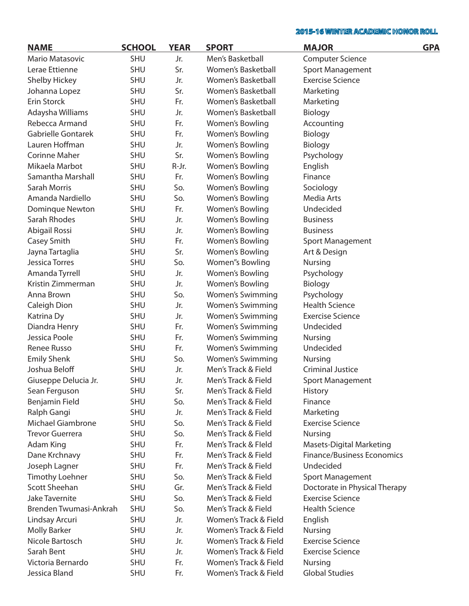| <b>NAME</b>              | <b>SCHOOL</b> | <b>YEAR</b> | <b>SPORT</b>              | <b>MAJOR</b>                      | <b>GPA</b> |
|--------------------------|---------------|-------------|---------------------------|-----------------------------------|------------|
| Mario Matasovic          | <b>SHU</b>    | Jr.         | Men's Basketball          | <b>Computer Science</b>           |            |
| Lerae Ettienne           | <b>SHU</b>    | Sr.         | Women's Basketball        | <b>Sport Management</b>           |            |
| <b>Shelby Hickey</b>     | <b>SHU</b>    | Jr.         | Women's Basketball        | <b>Exercise Science</b>           |            |
| Johanna Lopez            | <b>SHU</b>    | Sr.         | Women's Basketball        | Marketing                         |            |
| Erin Storck              | <b>SHU</b>    | Fr.         | <b>Women's Basketball</b> | Marketing                         |            |
| Adaysha Williams         | <b>SHU</b>    | Jr.         | Women's Basketball        | Biology                           |            |
| Rebecca Armand           | <b>SHU</b>    | Fr.         | Women's Bowling           | Accounting                        |            |
| Gabrielle Gontarek       | <b>SHU</b>    | Fr.         | Women's Bowling           | Biology                           |            |
| Lauren Hoffman           | <b>SHU</b>    | Jr.         | Women's Bowling           | Biology                           |            |
| <b>Corinne Maher</b>     | <b>SHU</b>    | Sr.         | Women's Bowling           | Psychology                        |            |
| Mikaela Marbot           | <b>SHU</b>    | R-Jr.       | Women's Bowling           | English                           |            |
| Samantha Marshall        | <b>SHU</b>    | Fr.         | Women's Bowling           | Finance                           |            |
| Sarah Morris             | <b>SHU</b>    | So.         | Women's Bowling           | Sociology                         |            |
| Amanda Nardiello         | <b>SHU</b>    | So.         | Women's Bowling           | Media Arts                        |            |
| Dominque Newton          | <b>SHU</b>    | Fr.         | Women's Bowling           | Undecided                         |            |
| Sarah Rhodes             | <b>SHU</b>    | Jr.         | Women's Bowling           | <b>Business</b>                   |            |
| Abigail Rossi            | <b>SHU</b>    | Jr.         | Women's Bowling           | <b>Business</b>                   |            |
| Casey Smith              | <b>SHU</b>    | Fr.         | Women's Bowling           | Sport Management                  |            |
| Jayna Tartaglia          | <b>SHU</b>    | Sr.         | Women's Bowling           | Art & Design                      |            |
| <b>Jessica Torres</b>    | <b>SHU</b>    | So.         | Women''s Bowling          | <b>Nursing</b>                    |            |
| Amanda Tyrrell           | <b>SHU</b>    | Jr.         | Women's Bowling           | Psychology                        |            |
| Kristin Zimmerman        | <b>SHU</b>    | Jr.         | Women's Bowling           | Biology                           |            |
| Anna Brown               | <b>SHU</b>    | So.         | <b>Women's Swimming</b>   | Psychology                        |            |
| Caleigh Dion             | <b>SHU</b>    | Jr.         | <b>Women's Swimming</b>   | <b>Health Science</b>             |            |
| Katrina Dy               | <b>SHU</b>    | Jr.         | <b>Women's Swimming</b>   | <b>Exercise Science</b>           |            |
| Diandra Henry            | <b>SHU</b>    | Fr.         | <b>Women's Swimming</b>   | Undecided                         |            |
| Jessica Poole            | <b>SHU</b>    | Fr.         | <b>Women's Swimming</b>   | <b>Nursing</b>                    |            |
| Renee Russo              | <b>SHU</b>    | Fr.         | <b>Women's Swimming</b>   | Undecided                         |            |
| <b>Emily Shenk</b>       | <b>SHU</b>    | So.         | <b>Women's Swimming</b>   | Nursing                           |            |
| Joshua Beloff            | <b>SHU</b>    | Jr.         | Men's Track & Field       | <b>Criminal Justice</b>           |            |
| Giuseppe Delucia Jr.     | <b>SHU</b>    | Jr.         | Men's Track & Field       | Sport Management                  |            |
| Sean Ferguson            | <b>SHU</b>    | Sr.         | Men's Track & Field       | <b>History</b>                    |            |
| Benjamin Field           | <b>SHU</b>    | So.         | Men's Track & Field       | Finance                           |            |
| Ralph Gangi              | <b>SHU</b>    | Jr.         | Men's Track & Field       | Marketing                         |            |
| <b>Michael Giambrone</b> | <b>SHU</b>    | So.         | Men's Track & Field       | <b>Exercise Science</b>           |            |
| <b>Trevor Guerrera</b>   | <b>SHU</b>    | So.         | Men's Track & Field       | <b>Nursing</b>                    |            |
| Adam King                | <b>SHU</b>    | Fr.         | Men's Track & Fleld       | <b>Masets-Digital Marketing</b>   |            |
| Dane Krchnavy            | <b>SHU</b>    | Fr.         | Men's Track & Field       | <b>Finance/Business Economics</b> |            |
| Joseph Lagner            | <b>SHU</b>    | Fr.         | Men's Track & Field       | Undecided                         |            |
| <b>Timothy Loehner</b>   | <b>SHU</b>    | So.         | Men's Track & Field       | Sport Management                  |            |
| Scott Sheehan            | <b>SHU</b>    | Gr.         | Men's Track & Field       | Doctorate in Physical Therapy     |            |
| <b>Jake Tavernite</b>    | <b>SHU</b>    | So.         | Men's Track & Field       | <b>Exercise Science</b>           |            |
| Brenden Twumasi-Ankrah   | <b>SHU</b>    | So.         | Men's Track & Field       | <b>Health Science</b>             |            |
| Lindsay Arcuri           | <b>SHU</b>    | Jr.         | Women's Track & Field     | English                           |            |
| <b>Molly Barker</b>      | <b>SHU</b>    | Jr.         | Women's Track & Field     | <b>Nursing</b>                    |            |
| Nicole Bartosch          | <b>SHU</b>    | Jr.         | Women's Track & Field     | <b>Exercise Science</b>           |            |
| Sarah Bent               | <b>SHU</b>    | Jr.         | Women's Track & Field     | <b>Exercise Science</b>           |            |
| Victoria Bernardo        | <b>SHU</b>    | Fr.         | Women's Track & Field     | <b>Nursing</b>                    |            |
| Jessica Bland            | <b>SHU</b>    | Fr.         | Women's Track & Field     | <b>Global Studies</b>             |            |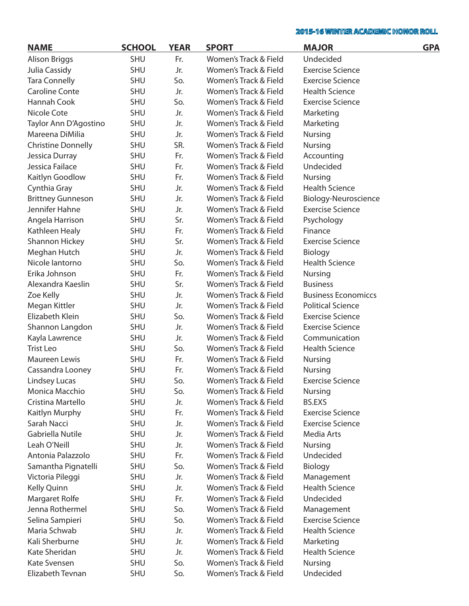| <b>NAME</b>               | <b>SCHOOL</b> | <b>YEAR</b> | <b>SPORT</b>          | <b>MAJOR</b>               | <b>GPA</b> |
|---------------------------|---------------|-------------|-----------------------|----------------------------|------------|
| <b>Alison Briggs</b>      | <b>SHU</b>    | Fr.         | Women's Track & Field | Undecided                  |            |
| Julia Cassidy             | <b>SHU</b>    | Jr.         | Women's Track & Field | <b>Exercise Science</b>    |            |
| <b>Tara Connelly</b>      | <b>SHU</b>    | So.         | Women's Track & Field | <b>Exercise Science</b>    |            |
| <b>Caroline Conte</b>     | <b>SHU</b>    | Jr.         | Women's Track & Field | <b>Health Science</b>      |            |
| Hannah Cook               | <b>SHU</b>    | So.         | Women's Track & Field | <b>Exercise Science</b>    |            |
| Nicole Cote               | <b>SHU</b>    | Jr.         | Women's Track & Field | Marketing                  |            |
| Taylor Ann D'Agostino     | <b>SHU</b>    | Jr.         | Women's Track & Field | Marketing                  |            |
| Mareena DiMilia           | <b>SHU</b>    | Jr.         | Women's Track & Field | Nursing                    |            |
| <b>Christine Donnelly</b> | <b>SHU</b>    | SR.         | Women's Track & Field | <b>Nursing</b>             |            |
| Jessica Durray            | <b>SHU</b>    | Fr.         | Women's Track & Field | Accounting                 |            |
| Jessica Failace           | <b>SHU</b>    | Fr.         | Women's Track & Field | Undecided                  |            |
| Kaitlyn Goodlow           | <b>SHU</b>    | Fr.         | Women's Track & Field | <b>Nursing</b>             |            |
| Cynthia Gray              | <b>SHU</b>    | Jr.         | Women's Track & Field | <b>Health Science</b>      |            |
| <b>Brittney Gunneson</b>  | <b>SHU</b>    | Jr.         | Women's Track & Field | Biology-Neuroscience       |            |
| Jennifer Hahne            | <b>SHU</b>    | Jr.         | Women's Track & Field | <b>Exercise Science</b>    |            |
| Angela Harrison           | <b>SHU</b>    | Sr.         | Women's Track & Field | Psychology                 |            |
| Kathleen Healy            | <b>SHU</b>    | Fr.         | Women's Track & Field | Finance                    |            |
| <b>Shannon Hickey</b>     | <b>SHU</b>    | Sr.         | Women's Track & Field | <b>Exercise Science</b>    |            |
| Meghan Hutch              | <b>SHU</b>    | Jr.         | Women's Track & Field | Biology                    |            |
| Nicole lantorno           | <b>SHU</b>    | So.         | Women's Track & Field | <b>Health Science</b>      |            |
| Erika Johnson             | <b>SHU</b>    | Fr.         | Women's Track & Field | <b>Nursing</b>             |            |
| Alexandra Kaeslin         | <b>SHU</b>    | Sr.         | Women's Track & Field | <b>Business</b>            |            |
| Zoe Kelly                 | <b>SHU</b>    | Jr.         | Women's Track & Field | <b>Business Economiccs</b> |            |
| Megan Kittler             | <b>SHU</b>    | Jr.         | Women's Track & Field | <b>Political Science</b>   |            |
| Elizabeth Klein           | <b>SHU</b>    | So.         | Women's Track & Field | <b>Exercise Science</b>    |            |
| Shannon Langdon           | <b>SHU</b>    | Jr.         | Women's Track & Field | <b>Exercise Science</b>    |            |
| Kayla Lawrence            | <b>SHU</b>    | Jr.         | Women's Track & Field | Communication              |            |
| <b>Trist Leo</b>          | <b>SHU</b>    | So.         | Women's Track & Field | <b>Health Science</b>      |            |
| Maureen Lewis             | <b>SHU</b>    | Fr.         | Women's Track & Field | Nursing                    |            |
| Cassandra Looney          | <b>SHU</b>    | Fr.         | Women's Track & Field | <b>Nursing</b>             |            |
| <b>Lindsey Lucas</b>      | <b>SHU</b>    | So.         | Women's Track & Field | <b>Exercise Science</b>    |            |
| Monica Macchio            | <b>SHU</b>    | So.         | Women's Track & Field | <b>Nursing</b>             |            |
| Cristina Martello         | SHU           | Jr.         | Women's Track & Field | <b>BS.EXS</b>              |            |
| Kaitlyn Murphy            | <b>SHU</b>    | Fr.         | Women's Track & Field | <b>Exercise Science</b>    |            |
| Sarah Nacci               | <b>SHU</b>    | Jr.         | Women's Track & Field | <b>Exercise Science</b>    |            |
| Gabriella Nutile          | <b>SHU</b>    | Jr.         | Women's Track & Field | Media Arts                 |            |
| Leah O'Neill              | <b>SHU</b>    | Jr.         | Women's Track & Field | Nursing                    |            |
| Antonia Palazzolo         | <b>SHU</b>    | Fr.         | Women's Track & Field | Undecided                  |            |
| Samantha Pignatelli       | <b>SHU</b>    | So.         | Women's Track & Field | Biology                    |            |
| Victoria Pileggi          | <b>SHU</b>    | Jr.         | Women's Track & Field | Management                 |            |
| Kelly Quinn               | <b>SHU</b>    | Jr.         | Women's Track & Field | <b>Health Science</b>      |            |
| Margaret Rolfe            | <b>SHU</b>    | Fr.         | Women's Track & Field | Undecided                  |            |
| Jenna Rothermel           | <b>SHU</b>    | So.         | Women's Track & Field | Management                 |            |
| Selina Sampieri           | <b>SHU</b>    | So.         | Women's Track & Field | <b>Exercise Science</b>    |            |
| Maria Schwab              | <b>SHU</b>    | Jr.         | Women's Track & Field | <b>Health Science</b>      |            |
| Kali Sherburne            | <b>SHU</b>    | Jr.         | Women's Track & Field | Marketing                  |            |
| Kate Sheridan             | <b>SHU</b>    | Jr.         | Women's Track & Field | <b>Health Science</b>      |            |
| Kate Svensen              | SHU           | So.         | Women's Track & Field | Nursing                    |            |
| Elizabeth Tevnan          | SHU           | So.         | Women's Track & Field | Undecided                  |            |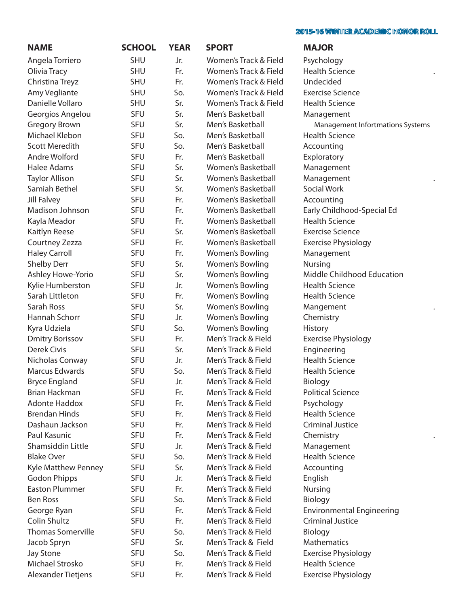| <b>NAME</b>                                  | <b>SCHOOL</b> | <b>YEAR</b> | <b>SPORT</b>              | <b>MAJOR</b>                     |
|----------------------------------------------|---------------|-------------|---------------------------|----------------------------------|
| Angela Torriero                              | <b>SHU</b>    | Jr.         | Women's Track & Field     | Psychology                       |
| Olivia Tracy                                 | <b>SHU</b>    | Fr.         | Women's Track & Field     | <b>Health Science</b>            |
| Christina Treyz                              | <b>SHU</b>    | Fr.         | Women's Track & Field     | Undecided                        |
| Amy Vegliante                                | <b>SHU</b>    | So.         | Women's Track & Field     | <b>Exercise Science</b>          |
| Danielle Vollaro                             | <b>SHU</b>    | Sr.         | Women's Track & Field     | <b>Health Science</b>            |
| Georgios Angelou                             | SFU           | Sr.         | Men's Basketball          | Management                       |
| <b>Gregory Brown</b>                         | SFU           | Sr.         | Men's Basketball          | Management Infortmations Systems |
| Michael Klebon                               | SFU           | So.         | Men's Basketball          | <b>Health Science</b>            |
| <b>Scott Meredith</b>                        | SFU           | So.         | Men's Basketball          | Accounting                       |
| Andre Wolford                                | SFU           | Fr.         | Men's Basketball          | Exploratory                      |
| <b>Halee Adams</b>                           | SFU           | Sr.         | Women's Basketball        | Management                       |
| <b>Taylor Allison</b>                        | SFU           | Sr.         | Women's Basketball        | Management                       |
| Samiah Bethel                                | SFU           | Sr.         | Women's Basketball        | <b>Social Work</b>               |
| Jill Falvey                                  | SFU           | Fr.         | Women's Basketball        | Accounting                       |
| Madison Johnson                              | SFU           | Fr.         | Women's Basketball        | Early Childhood-Special Ed       |
| Kayla Meador                                 | <b>SFU</b>    | Fr.         | <b>Women's Basketball</b> | <b>Health Science</b>            |
| Kaitlyn Reese                                | SFU           | Sr.         | Women's Basketball        | <b>Exercise Science</b>          |
| Courtney Zezza                               | <b>SFU</b>    | Fr.         | Women's Basketball        | <b>Exercise Physiology</b>       |
| <b>Haley Carroll</b>                         | <b>SFU</b>    | Fr.         | Women's Bowling           | Management                       |
| <b>Shelby Derr</b>                           | SFU           | Sr.         | Women's Bowling           | <b>Nursing</b>                   |
| Ashley Howe-Yorio                            | <b>SFU</b>    | Sr.         | Women's Bowling           | Middle Childhood Education       |
| Kylie Humberston                             | <b>SFU</b>    | Jr.         | Women's Bowling           | <b>Health Science</b>            |
| Sarah Littleton                              | SFU           | Fr.         | Women's Bowling           | <b>Health Science</b>            |
| Sarah Ross                                   | <b>SFU</b>    | Sr.         | Women's Bowling           | Mangement                        |
| Hannah Schorr                                | <b>SFU</b>    | Jr.         | Women's Bowling           | Chemistry                        |
| Kyra Udziela                                 | SFU           | So.         | Women's Bowling           | <b>History</b>                   |
| <b>Dmitry Borissov</b>                       | <b>SFU</b>    | Fr.         | Men's Track & Field       | <b>Exercise Physiology</b>       |
| <b>Derek Civis</b>                           | <b>SFU</b>    | Sr.         | Men's Track & Field       | Engineering                      |
| Nicholas Conway                              | <b>SFU</b>    | Jr.         | Men's Track & Field       | <b>Health Science</b>            |
| <b>Marcus Edwards</b>                        | SFU           | So.         | Men's Track & Field       | <b>Health Science</b>            |
| <b>Bryce England</b>                         | SFU           | Jr.         | Men's Track & Field       | Biology                          |
| <b>Brian Hackman</b>                         | SFU           | Fr.         | Men's Track & Field       | <b>Political Science</b>         |
| <b>Adonte Haddox</b>                         | SFU           | Fr.         | Men's Track & Field       | Psychology                       |
| <b>Brendan Hinds</b>                         | <b>SFU</b>    | Fr.         | Men's Track & Field       | <b>Health Science</b>            |
| Dashaun Jackson                              | SFU           | Fr.         | Men's Track & Field       | <b>Criminal Justice</b>          |
| Paul Kasunic                                 | <b>SFU</b>    | Fr.         | Men's Track & Field       | Chemistry                        |
| Shamsiddin Little                            | <b>SFU</b>    | Jr.         | Men's Track & Field       | Management                       |
| <b>Blake Over</b>                            | SFU           | So.         | Men's Track & Field       | <b>Health Science</b>            |
| Kyle Matthew Penney                          | <b>SFU</b>    | Sr.         | Men's Track & Field       | Accounting                       |
|                                              | <b>SFU</b>    | Jr.         | Men's Track & Field       |                                  |
| <b>Godon Phipps</b><br><b>Easton Plummer</b> | SFU           | Fr.         | Men's Track & Field       | English                          |
| <b>Ben Ross</b>                              |               |             |                           | <b>Nursing</b>                   |
|                                              | <b>SFU</b>    | So.<br>Fr.  | Men's Track & Field       | Biology                          |
| George Ryan                                  | <b>SFU</b>    |             | Men's Track & Field       | <b>Environmental Engineering</b> |
| <b>Colin Shultz</b>                          | SFU           | Fr.         | Men's Track & Field       | <b>Criminal Justice</b>          |
| <b>Thomas Somerville</b>                     | <b>SFU</b>    | So.         | Men's Track & Field       | Biology                          |
| Jacob Spryn                                  | <b>SFU</b>    | Sr.         | Men's Track & Field       | Mathematics                      |
| <b>Jay Stone</b>                             | SFU           | So.         | Men's Track & Field       | <b>Exercise Physiology</b>       |
| Michael Strosko                              | <b>SFU</b>    | Fr.         | Men's Track & Field       | <b>Health Science</b>            |
| Alexander Tietjens                           | <b>SFU</b>    | Fr.         | Men's Track & Field       | <b>Exercise Physiology</b>       |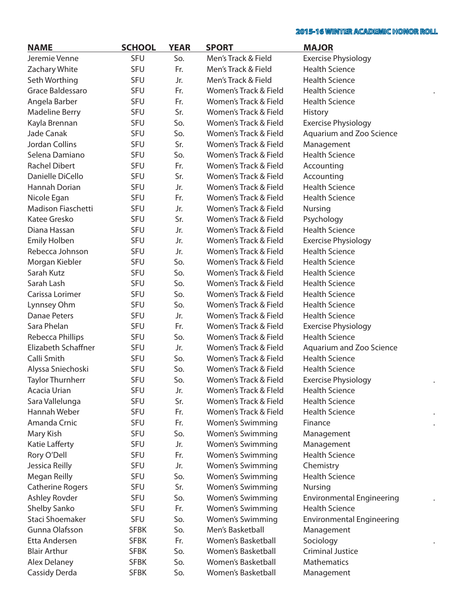$\ddot{\phantom{0}}$ 

 $\ddot{\phantom{a}}$ 

 $\ddot{\phantom{a}}$ 

 $\ddot{\phantom{a}}$ 

| <b>NAME</b>               | <b>SCHOOL</b> | <b>YEAR</b> | <b>SPORT</b>            | <b>MAJOR</b>                     |
|---------------------------|---------------|-------------|-------------------------|----------------------------------|
| Jeremie Venne             | SFU           | So.         | Men's Track & Field     | <b>Exercise Physiology</b>       |
| Zachary White             | SFU           | Fr.         | Men's Track & Field     | <b>Health Science</b>            |
| Seth Worthing             | SFU           | Jr.         | Men's Track & Field     | <b>Health Science</b>            |
| Grace Baldessaro          | SFU           | Fr.         | Women's Track & Field   | <b>Health Science</b>            |
| Angela Barber             | SFU           | Fr.         | Women's Track & Field   | <b>Health Science</b>            |
| <b>Madeline Berry</b>     | SFU           | Sr.         | Women's Track & Field   | <b>History</b>                   |
| Kayla Brennan             | SFU           | So.         | Women's Track & Field   | <b>Exercise Physiology</b>       |
| Jade Canak                | SFU           | So.         | Women's Track & Field   | Aquarium and Zoo Science         |
| <b>Jordan Collins</b>     | <b>SFU</b>    | Sr.         | Women's Track & Field   | Management                       |
| Selena Damiano            | SFU           | So.         | Women's Track & Field   | <b>Health Science</b>            |
| <b>Rachel Dibert</b>      | <b>SFU</b>    | Fr.         | Women's Track & Field   | Accounting                       |
| Danielle DiCello          | <b>SFU</b>    | Sr.         | Women's Track & Field   | Accounting                       |
| Hannah Dorian             | <b>SFU</b>    | Jr.         | Women's Track & Field   | <b>Health Science</b>            |
| Nicole Egan               | <b>SFU</b>    | Fr.         | Women's Track & Field   | <b>Health Science</b>            |
| <b>Madison Fiaschetti</b> | <b>SFU</b>    | Jr.         | Women's Track & Field   | <b>Nursing</b>                   |
| Katee Gresko              | SFU           | Sr.         | Women's Track & Field   | Psychology                       |
| Diana Hassan              | <b>SFU</b>    | Jr.         | Women's Track & Field   | <b>Health Science</b>            |
| <b>Emily Holben</b>       | <b>SFU</b>    | Jr.         | Women's Track & Field   | <b>Exercise Physiology</b>       |
| Rebecca Johnson           | <b>SFU</b>    | Jr.         | Women's Track & Field   | <b>Health Science</b>            |
| Morgan Kiebler            | <b>SFU</b>    | So.         | Women's Track & Field   | <b>Health Science</b>            |
| Sarah Kutz                | <b>SFU</b>    | So.         | Women's Track & Field   | <b>Health Science</b>            |
| Sarah Lash                | SFU           | So.         | Women's Track & Field   | <b>Health Science</b>            |
| Carissa Lorimer           | <b>SFU</b>    | So.         | Women's Track & Field   | <b>Health Science</b>            |
| Lynnsey Ohm               | <b>SFU</b>    | So.         | Women's Track & Field   | <b>Health Science</b>            |
| <b>Danae Peters</b>       | SFU           | Jr.         | Women's Track & Field   | <b>Health Science</b>            |
| Sara Phelan               | <b>SFU</b>    | Fr.         | Women's Track & Field   | <b>Exercise Physiology</b>       |
| Rebecca Phillips          | SFU           | So.         | Women's Track & Field   | <b>Health Science</b>            |
| Elizabeth Schaffner       | SFU           | Jr.         | Women's Track & Field   | Aquarium and Zoo Science         |
| Calli Smith               | SFU           | So.         | Women's Track & Field   | <b>Health Science</b>            |
| Alyssa Sniechoski         | SFU           | So.         | Women's Track & Field   | <b>Health Science</b>            |
| <b>Taylor Thurnherr</b>   | SFU           | So.         | Women's Track & Field   | <b>Exercise Physiology</b>       |
| Acacia Urian              | <b>SFU</b>    | Jr.         | Women's Track & Fleld   | <b>Health Science</b>            |
| Sara Vallelunga           | SFU           | Sr.         | Women's Track & Field   | <b>Health Science</b>            |
| Hannah Weber              | SFU           | Fr.         | Women's Track & Field   | <b>Health Science</b>            |
| Amanda Crnic              | SFU           | Fr.         | Women's Swimming        | Finance                          |
| Mary Kish                 | SFU           | So.         | <b>Women's Swimming</b> | Management                       |
| Katie Lafferty            | SFU           | Jr.         | <b>Women's Swimming</b> | Management                       |
| Rory O'Dell               | SFU           | Fr.         | Women's Swimming        | <b>Health Science</b>            |
| Jessica Reilly            | SFU           | Jr.         | <b>Women's Swimming</b> | Chemistry                        |
| Megan Reilly              | SFU           | So.         | <b>Women's Swimming</b> | <b>Health Science</b>            |
| <b>Catherine Rogers</b>   | SFU           | Sr.         | <b>Women's Swimming</b> | Nursing                          |
| Ashley Rovder             | SFU           | So.         | <b>Women's Swimming</b> | <b>Environmental Engineering</b> |
| Shelby Sanko              | SFU           | Fr.         | <b>Women's Swimming</b> | <b>Health Science</b>            |
| Staci Shoemaker           | SFU           | So.         | <b>Women's Swimming</b> | <b>Environmental Engineering</b> |
| Gunna Olafsson            | <b>SFBK</b>   | So.         | Men's Basketball        | Management                       |
| Etta Andersen             | <b>SFBK</b>   | Fr.         | Women's Basketball      | Sociology                        |
| <b>Blair Arthur</b>       | <b>SFBK</b>   | So.         | Women's Basketball      | <b>Criminal Justice</b>          |
| <b>Alex Delaney</b>       | <b>SFBK</b>   | So.         | Women's Basketball      | <b>Mathematics</b>               |
| Cassidy Derda             | <b>SFBK</b>   | So.         | Women's Basketball      | Management                       |
|                           |               |             |                         |                                  |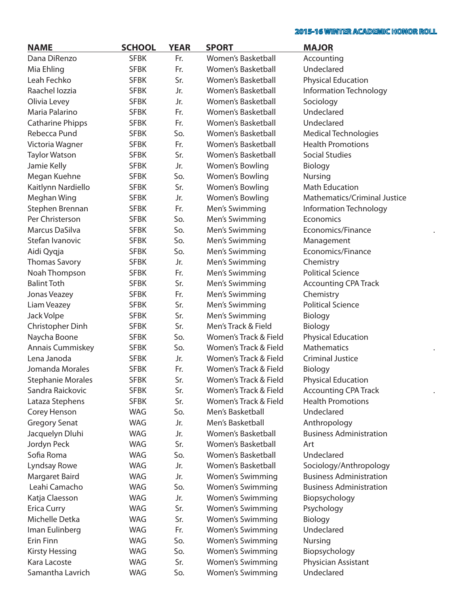| <b>NAME</b>              | <b>SCHOOL</b> | <b>YEAR</b> | <b>SPORT</b>              | <b>MAJOR</b>                        |
|--------------------------|---------------|-------------|---------------------------|-------------------------------------|
| Dana DiRenzo             | <b>SFBK</b>   | Fr.         | Women's Basketball        | Accounting                          |
| Mia Ehling               | <b>SFBK</b>   | Fr.         | <b>Women's Basketball</b> | Undeclared                          |
| Leah Fechko              | <b>SFBK</b>   | Sr.         | Women's Basketball        | <b>Physical Education</b>           |
| Raachel lozzia           | <b>SFBK</b>   | Jr.         | Women's Basketball        | Information Technology              |
| Olivia Levey             | <b>SFBK</b>   | Jr.         | Women's Basketball        | Sociology                           |
| Maria Palarino           | <b>SFBK</b>   | Fr.         | Women's Basketball        | Undeclared                          |
| <b>Catharine Phipps</b>  | <b>SFBK</b>   | Fr.         | Women's Basketball        | Undeclared                          |
| Rebecca Pund             | <b>SFBK</b>   | So.         | Women's Basketball        | <b>Medical Technologies</b>         |
| Victoria Wagner          | <b>SFBK</b>   | Fr.         | Women's Basketball        | <b>Health Promotions</b>            |
| <b>Taylor Watson</b>     | <b>SFBK</b>   | Sr.         | Women's Basketball        | <b>Social Studies</b>               |
| Jamie Kelly              | <b>SFBK</b>   | Jr.         | Women's Bowling           | Biology                             |
| Megan Kuehne             | <b>SFBK</b>   | So.         | Women's Bowling           | <b>Nursing</b>                      |
| Kaitlynn Nardiello       | <b>SFBK</b>   | Sr.         | Women's Bowling           | <b>Math Education</b>               |
| Meghan Wing              | <b>SFBK</b>   | Jr.         | Women's Bowling           | <b>Mathematics/Criminal Justice</b> |
| Stephen Brennan          | <b>SFBK</b>   | Fr.         | Men's Swimming            | Information Technology              |
| Per Christerson          | <b>SFBK</b>   | So.         | Men's Swimming            | Economics                           |
| <b>Marcus DaSilva</b>    | <b>SFBK</b>   | So.         | Men's Swimming            | Economics/Finance                   |
| Stefan Ivanovic          | <b>SFBK</b>   | So.         | Men's Swimming            | Management                          |
| Aidi Qyqja               | <b>SFBK</b>   | So.         | Men's Swimming            | Economics/Finance                   |
| <b>Thomas Savory</b>     | <b>SFBK</b>   | Jr.         | Men's Swimming            | Chemistry                           |
| Noah Thompson            | <b>SFBK</b>   | Fr.         | Men's Swimming            | <b>Political Science</b>            |
| <b>Balint Toth</b>       | <b>SFBK</b>   | Sr.         | Men's Swimming            | <b>Accounting CPA Track</b>         |
| Jonas Veazey             | <b>SFBK</b>   | Fr.         | Men's Swimming            | Chemistry                           |
| Liam Veazey              | <b>SFBK</b>   | Sr.         | Men's Swimming            | <b>Political Science</b>            |
| Jack Volpe               | <b>SFBK</b>   | Sr.         | Men's Swimming            | Biology                             |
| Christopher Dinh         | <b>SFBK</b>   | Sr.         | Men's Track & Field       | Biology                             |
| Naycha Boone             | <b>SFBK</b>   | So.         | Women's Track & Field     | <b>Physical Education</b>           |
| Annais Cummiskey         | <b>SFBK</b>   | So.         | Women's Track & Field     | <b>Mathematics</b>                  |
| Lena Janoda              | <b>SFBK</b>   | Jr.         | Women's Track & Field     | <b>Criminal Justice</b>             |
| Jomanda Morales          | <b>SFBK</b>   | Fr.         | Women's Track & Field     | Biology                             |
| <b>Stephanie Morales</b> | <b>SFBK</b>   | Sr.         | Women's Track & Field     | <b>Physical Education</b>           |
| Sandra Raickovic         | <b>SFBK</b>   | Sr.         | Women's Track & Field     | <b>Accounting CPA Track</b>         |
| Lataza Stephens          | <b>SFBK</b>   | Sr.         | Women's Track & Field     | <b>Health Promotions</b>            |
| Corey Henson             | WAG           | So.         | Men's Basketball          | Undeclared                          |
| <b>Gregory Senat</b>     | WAG           | Jr.         | Men's Basketball          | Anthropology                        |
| Jacquelyn Dluhi          | WAG           | Jr.         | Women's Basketball        | <b>Business Administration</b>      |
| Jordyn Peck              | WAG           | Sr.         | Women's Basketball        | Art                                 |
| Sofia Roma               | WAG           | So.         | Women's Basketball        | Undeclared                          |
| Lyndsay Rowe             | <b>WAG</b>    | Jr.         | Women's Basketball        | Sociology/Anthropology              |
| Margaret Baird           | <b>WAG</b>    | Jr.         | <b>Women's Swimming</b>   | <b>Business Administration</b>      |
| Leahi Camacho            | WAG           | So.         | <b>Women's Swimming</b>   | <b>Business Administration</b>      |
| Katja Claesson           | WAG           | Jr.         | <b>Women's Swimming</b>   | Biopsychology                       |
| <b>Erica Curry</b>       | WAG           | Sr.         | <b>Women's Swimming</b>   | Psychology                          |
| Michelle Detka           | WAG           | Sr.         | <b>Women's Swimming</b>   | Biology                             |
| Iman Eulinberg           | WAG           | Fr.         | Women's Swimming          | Undeclared                          |
| Erin Finn                | WAG           | So.         | <b>Women's Swimming</b>   | <b>Nursing</b>                      |
| <b>Kirsty Hessing</b>    | WAG           | So.         | <b>Women's Swimming</b>   | Biopsychology                       |
| Kara Lacoste             | WAG           | Sr.         | <b>Women's Swimming</b>   | Physician Assistant                 |
| Samantha Lavrich         | WAG           | So.         | <b>Women's Swimming</b>   | Undeclared                          |
|                          |               |             |                           |                                     |